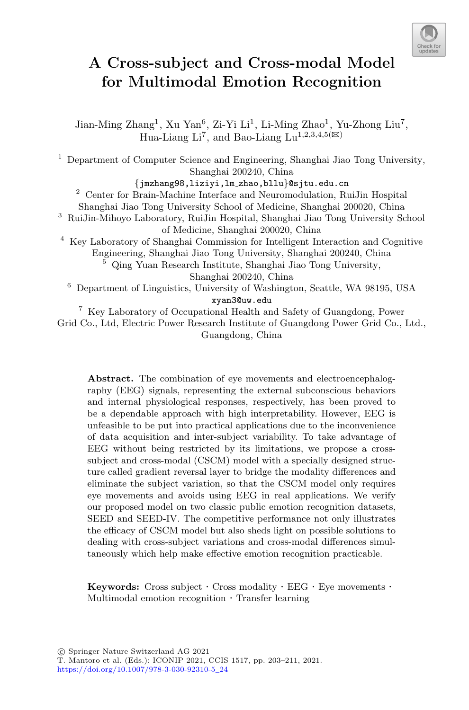

# **A Cross-subject and Cross-modal Model for Multimodal Emotion Recognition**

Jian-Ming Zhang<sup>1</sup>, Xu Yan<sup>6</sup>, Zi-Yi Li<sup>1</sup>, Li-Ming Zhao<sup>1</sup>, Yu-Zhong Liu<sup>7</sup>, Hua-Liang Li<sup>7</sup>, and Bao-Liang Lu<sup>1,2,3,4,5( $\boxtimes$ )</sup>

<sup>1</sup> Department of Computer Science and Engineering, Shanghai Jiao Tong University, Shanghai 200240, China

*{*jmzhang98,liziyi,lm zhao,bllu*}*@sjtu.edu.cn <sup>2</sup> Center for Brain-Machine Interface and Neuromodulation, RuiJin Hospital

Shanghai Jiao Tong University School of Medicine, Shanghai 200020, China

<sup>3</sup> RuiJin-Mihoyo Laboratory, RuiJin Hospital, Shanghai Jiao Tong University School of Medicine, Shanghai 200020, China

<sup>4</sup> Key Laboratory of Shanghai Commission for Intelligent Interaction and Cognitive Engineering, Shanghai Jiao Tong University, Shanghai 200240, China

<sup>5</sup> Qing Yuan Research Institute, Shanghai Jiao Tong University,

Shanghai 200240, China

<sup>6</sup> Department of Linguistics, University of Washington, Seattle, WA 98195, USA xyan3@uw.edu

<sup>7</sup> Key Laboratory of Occupational Health and Safety of Guangdong, Power Grid Co., Ltd, Electric Power Research Institute of Guangdong Power Grid Co., Ltd., Guangdong, China

**Abstract.** The combination of eye movements and electroencephalography (EEG) signals, representing the external subconscious behaviors and internal physiological responses, respectively, has been proved to be a dependable approach with high interpretability. However, EEG is unfeasible to be put into practical applications due to the inconvenience of data acquisition and inter-subject variability. To take advantage of EEG without being restricted by its limitations, we propose a crosssubject and cross-modal (CSCM) model with a specially designed structure called gradient reversal layer to bridge the modality differences and eliminate the subject variation, so that the CSCM model only requires eye movements and avoids using EEG in real applications. We verify our proposed model on two classic public emotion recognition datasets, SEED and SEED-IV. The competitive performance not only illustrates the efficacy of CSCM model but also sheds light on possible solutions to dealing with cross-subject variations and cross-modal differences simultaneously which help make effective emotion recognition practicable.

**Keywords:** Cross subject  $\cdot$  Cross modality  $\cdot$  EEG  $\cdot$  Eye movements  $\cdot$  Multimodal emotion recognition  $\cdot$  Transfer learning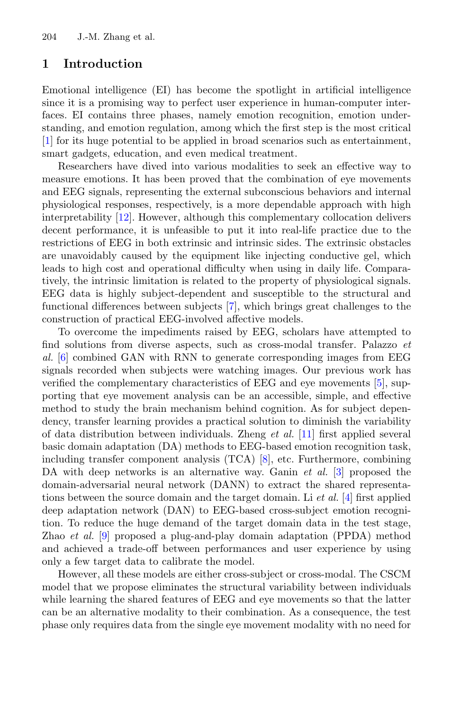## **1 Introduction**

Emotional intelligence (EI) has become the spotlight in artificial intelligence since it is a promising way to perfect user experience in human-computer interfaces. EI contains three phases, namely emotion recognition, emotion understanding, and emotion regulation, among which the first step is the most critical [\[1](#page-7-0)] for its huge potential to be applied in broad scenarios such as entertainment, smart gadgets, education, and even medical treatment.

Researchers have dived into various modalities to seek an effective way to measure emotions. It has been proved that the combination of eye movements and EEG signals, representing the external subconscious behaviors and internal physiological responses, respectively, is a more dependable approach with high interpretability [\[12\]](#page-8-0). However, although this complementary collocation delivers decent performance, it is unfeasible to put it into real-life practice due to the restrictions of EEG in both extrinsic and intrinsic sides. The extrinsic obstacles are unavoidably caused by the equipment like injecting conductive gel, which leads to high cost and operational difficulty when using in daily life. Comparatively, the intrinsic limitation is related to the property of physiological signals. EEG data is highly subject-dependent and susceptible to the structural and functional differences between subjects [\[7\]](#page-7-1), which brings great challenges to the construction of practical EEG-involved affective models.

To overcome the impediments raised by EEG, scholars have attempted to find solutions from diverse aspects, such as cross-modal transfer. Palazzo *et al.* [\[6\]](#page-7-2) combined GAN with RNN to generate corresponding images from EEG signals recorded when subjects were watching images. Our previous work has verified the complementary characteristics of EEG and eye movements [\[5](#page-7-3)], supporting that eye movement analysis can be an accessible, simple, and effective method to study the brain mechanism behind cognition. As for subject dependency, transfer learning provides a practical solution to diminish the variability of data distribution between individuals. Zheng *et al.* [\[11](#page-7-4)] first applied several basic domain adaptation (DA) methods to EEG-based emotion recognition task, including transfer component analysis (TCA) [\[8\]](#page-7-5), etc. Furthermore, combining DA with deep networks is an alternative way. Ganin *et al.* [\[3](#page-7-6)] proposed the domain-adversarial neural network (DANN) to extract the shared representations between the source domain and the target domain. Li *et al.* [\[4](#page-7-7)] first applied deep adaptation network (DAN) to EEG-based cross-subject emotion recognition. To reduce the huge demand of the target domain data in the test stage, Zhao *et al.* [\[9](#page-7-8)] proposed a plug-and-play domain adaptation (PPDA) method and achieved a trade-off between performances and user experience by using only a few target data to calibrate the model.

However, all these models are either cross-subject or cross-modal. The CSCM model that we propose eliminates the structural variability between individuals while learning the shared features of EEG and eye movements so that the latter can be an alternative modality to their combination. As a consequence, the test phase only requires data from the single eye movement modality with no need for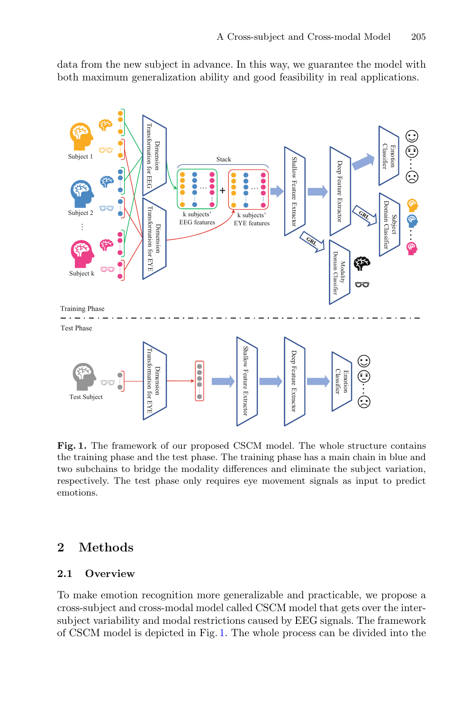data from the new subject in advance. In this way, we guarantee the model with both maximum generalization ability and good feasibility in real applications.



<span id="page-2-0"></span>**Fig. 1.** The framework of our proposed CSCM model. The whole structure contains the training phase and the test phase. The training phase has a main chain in blue and two subchains to bridge the modality differences and eliminate the subject variation, respectively. The test phase only requires eye movement signals as input to predict emotions.

# **2 Methods**

## **2.1 Overview**

To make emotion recognition more generalizable and practicable, we propose a cross-subject and cross-modal model called CSCM model that gets over the intersubject variability and modal restrictions caused by EEG signals. The framework of CSCM model is depicted in Fig. [1.](#page-2-0) The whole process can be divided into the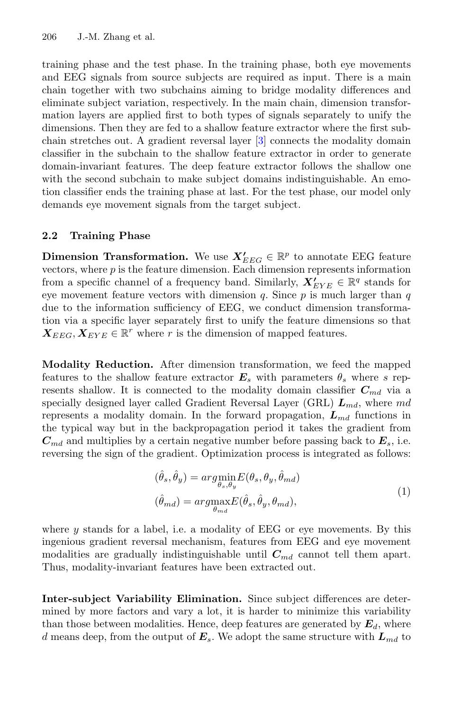training phase and the test phase. In the training phase, both eye movements and EEG signals from source subjects are required as input. There is a main chain together with two subchains aiming to bridge modality differences and eliminate subject variation, respectively. In the main chain, dimension transformation layers are applied first to both types of signals separately to unify the dimensions. Then they are fed to a shallow feature extractor where the first subchain stretches out. A gradient reversal layer [\[3\]](#page-7-6) connects the modality domain classifier in the subchain to the shallow feature extractor in order to generate domain-invariant features. The deep feature extractor follows the shallow one with the second subchain to make subject domains indistinguishable. An emotion classifier ends the training phase at last. For the test phase, our model only demands eye movement signals from the target subject.

#### **2.2 Training Phase**

**Dimension Transformation.** We use  $X'_{EEG} \in \mathbb{R}^p$  to annotate EEG feature vectors, where  $p$  is the feature dimension. Each dimension represents information from a specific channel of a frequency band. Similarly,  $X'_{EYE} \in \mathbb{R}^q$  stands for eye movement feature vectors with dimension q. Since  $p$  is much larger than  $q$ due to the information sufficiency of EEG, we conduct dimension transformation via a specific layer separately first to unify the feature dimensions so that  $X_{EEG}, X_{EYE} \in \mathbb{R}^r$  where r is the dimension of mapped features.

**Modality Reduction.** After dimension transformation, we feed the mapped features to the shallow feature extractor  $E_s$  with parameters  $\theta_s$  where s represents shallow. It is connected to the modality domain classifier  $C_{md}$  via a specially designed layer called Gradient Reversal Layer (GRL)  $L_{md}$ , where md represents a modality domain. In the forward propagation,  $L_{md}$  functions in the typical way but in the backpropagation period it takes the gradient from  $C_{md}$  and multiplies by a certain negative number before passing back to  $E_s$ , i.e. reversing the sign of the gradient. Optimization process is integrated as follows:

$$
(\hat{\theta}_s, \hat{\theta}_y) = \underset{\theta_{s}, \theta_y}{\arg\min} E(\theta_s, \theta_y, \hat{\theta}_{md})
$$

$$
(\hat{\theta}_{md}) = \underset{\theta_{md}}{\arg\max} E(\hat{\theta}_s, \hat{\theta}_y, \theta_{md}),
$$
(1)

where  $y$  stands for a label, i.e. a modality of EEG or eye movements. By this ingenious gradient reversal mechanism, features from EEG and eye movement modalities are gradually indistinguishable until  $C_{md}$  cannot tell them apart. Thus, modality-invariant features have been extracted out.

**Inter-subject Variability Elimination.** Since subject differences are determined by more factors and vary a lot, it is harder to minimize this variability than those between modalities. Hence, deep features are generated by  $E_d$ , where d means deep, from the output of  $E_s$ . We adopt the same structure with  $L_{md}$  to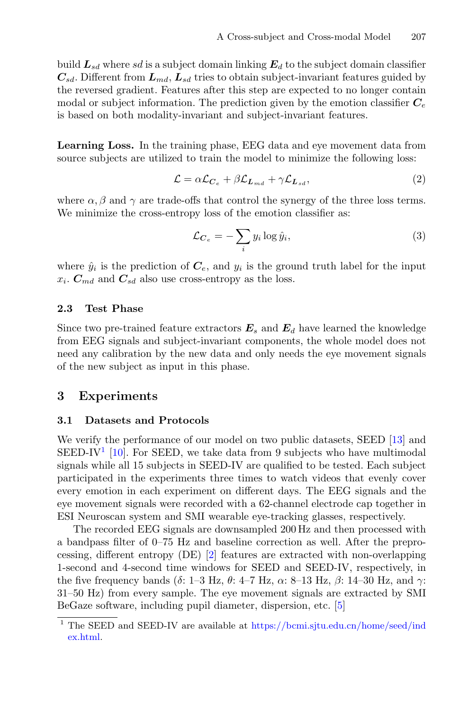build  $L_{sd}$  where sd is a subject domain linking  $E_d$  to the subject domain classifier  $C_{sd}$ . Different from  $L_{md}$ ,  $L_{sd}$  tries to obtain subject-invariant features guided by the reversed gradient. Features after this step are expected to no longer contain modal or subject information. The prediction given by the emotion classifier  $C_e$ is based on both modality-invariant and subject-invariant features.

**Learning Loss.** In the training phase, EEG data and eye movement data from source subjects are utilized to train the model to minimize the following loss:

$$
\mathcal{L} = \alpha \mathcal{L}_{C_e} + \beta \mathcal{L}_{L_{md}} + \gamma \mathcal{L}_{L_{sd}},\tag{2}
$$

where  $\alpha$ ,  $\beta$  and  $\gamma$  are trade-offs that control the synergy of the three loss terms. We minimize the cross-entropy loss of the emotion classifier as:

$$
\mathcal{L}_{C_e} = -\sum_i y_i \log \hat{y}_i,\tag{3}
$$

where  $\hat{y}_i$  is the prediction of  $C_e$ , and  $y_i$  is the ground truth label for the input  $x_i$ .  $C_{md}$  and  $C_{sd}$  also use cross-entropy as the loss.

#### **2.3 Test Phase**

Since two pre-trained feature extractors  $E_s$  and  $E_d$  have learned the knowledge from EEG signals and subject-invariant components, the whole model does not need any calibration by the new data and only needs the eye movement signals of the new subject as input in this phase.

# **3 Experiments**

#### **3.1 Datasets and Protocols**

We verify the performance of our model on two public datasets, SEED [\[13](#page-8-1)] and SEED-IV<sup>[1](#page-4-0)</sup> [\[10](#page-7-9)]. For SEED, we take data from 9 subjects who have multimodal signals while all 15 subjects in SEED-IV are qualified to be tested. Each subject participated in the experiments three times to watch videos that evenly cover every emotion in each experiment on different days. The EEG signals and the eye movement signals were recorded with a 62-channel electrode cap together in ESI Neuroscan system and SMI wearable eye-tracking glasses, respectively.

The recorded EEG signals are downsampled 200 Hz and then processed with a bandpass filter of 0–75 Hz and baseline correction as well. After the preprocessing, different entropy (DE) [\[2](#page-7-10)] features are extracted with non-overlapping 1-second and 4-second time windows for SEED and SEED-IV, respectively, in the five frequency bands ( $\delta$ : 1–3 Hz,  $\theta$ : 4–7 Hz,  $\alpha$ : 8–13 Hz,  $\beta$ : 14–30 Hz, and  $\gamma$ : 31–50 Hz) from every sample. The eye movement signals are extracted by SMI BeGaze software, including pupil diameter, dispersion, etc. [\[5](#page-7-3)]

<span id="page-4-0"></span><sup>&</sup>lt;sup>1</sup> The SEED and SEED-IV are available at [https://bcmi.sjtu.edu.cn/home/seed/ind](https://bcmi.sjtu.edu.cn/home/seed/index.html) [ex.html.](https://bcmi.sjtu.edu.cn/home/seed/index.html)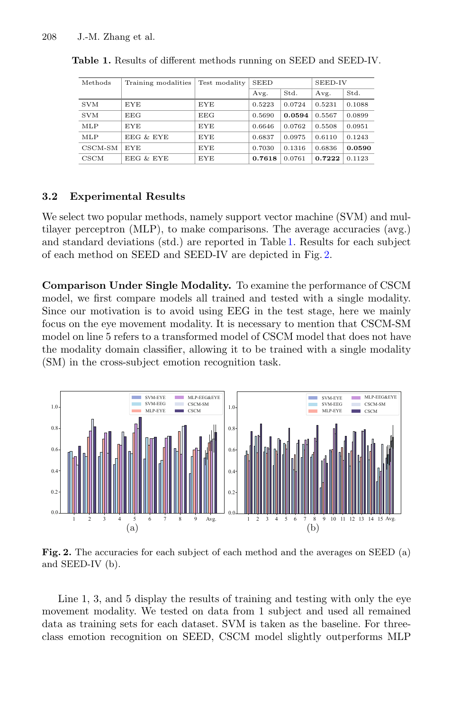| Methods       | Training modalities | Test modality | <b>SEED</b> |        | SEED-IV |        |
|---------------|---------------------|---------------|-------------|--------|---------|--------|
|               |                     |               | Avg.        | Std.   | Avg.    | Std.   |
| <b>SVM</b>    | <b>EYE</b>          | <b>EYE</b>    | 0.5223      | 0.0724 | 0.5231  | 0.1088 |
| <b>SVM</b>    | EEG                 | EEG           | 0.5690      | 0.0594 | 0.5567  | 0.0899 |
| MLP           | <b>EYE</b>          | <b>EYE</b>    | 0.6646      | 0.0762 | 0.5508  | 0.0951 |
| MLP           | EEG & EYE           | EYE           | 0.6837      | 0.0975 | 0.6110  | 0.1243 |
| $CSCM-SM$     | <b>EYE</b>          | <b>EYE</b>    | 0.7030      | 0.1316 | 0.6836  | 0.0590 |
| $_{\rm CSCM}$ | EEG & EYE           | <b>EYE</b>    | 0.7618      | 0.0761 | 0.7222  | 0.1123 |

<span id="page-5-0"></span>**Table 1.** Results of different methods running on SEED and SEED-IV.

#### **3.2 Experimental Results**

We select two popular methods, namely support vector machine (SVM) and multilayer perceptron (MLP), to make comparisons. The average accuracies (avg.) and standard deviations (std.) are reported in Table [1.](#page-5-0) Results for each subject of each method on SEED and SEED-IV are depicted in Fig. [2.](#page-5-1)

**Comparison Under Single Modality.** To examine the performance of CSCM model, we first compare models all trained and tested with a single modality. Since our motivation is to avoid using EEG in the test stage, here we mainly focus on the eye movement modality. It is necessary to mention that CSCM-SM model on line 5 refers to a transformed model of CSCM model that does not have the modality domain classifier, allowing it to be trained with a single modality (SM) in the cross-subject emotion recognition task.



<span id="page-5-1"></span>**Fig. 2.** The accuracies for each subject of each method and the averages on SEED (a) and SEED-IV (b).

Line 1, 3, and 5 display the results of training and testing with only the eye movement modality. We tested on data from 1 subject and used all remained data as training sets for each dataset. SVM is taken as the baseline. For threeclass emotion recognition on SEED, CSCM model slightly outperforms MLP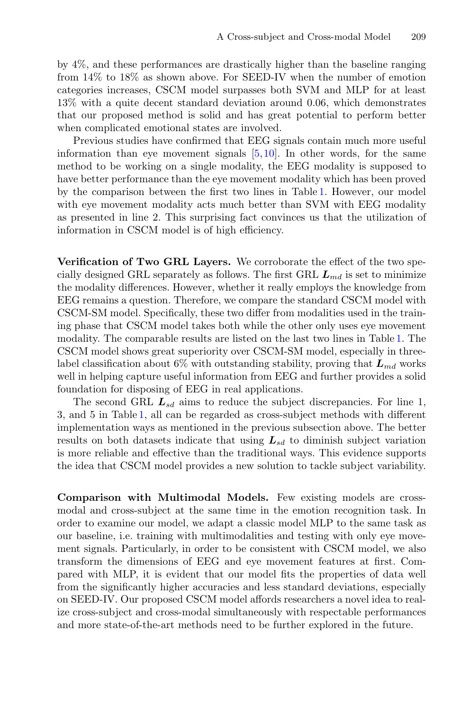by 4%, and these performances are drastically higher than the baseline ranging from 14% to 18% as shown above. For SEED-IV when the number of emotion categories increases, CSCM model surpasses both SVM and MLP for at least 13% with a quite decent standard deviation around 0.06, which demonstrates that our proposed method is solid and has great potential to perform better when complicated emotional states are involved.

Previous studies have confirmed that EEG signals contain much more useful information than eye movement signals  $[5,10]$  $[5,10]$  $[5,10]$ . In other words, for the same method to be working on a single modality, the EEG modality is supposed to have better performance than the eye movement modality which has been proved by the comparison between the first two lines in Table [1.](#page-5-0) However, our model with eye movement modality acts much better than SVM with EEG modality as presented in line 2. This surprising fact convinces us that the utilization of information in CSCM model is of high efficiency.

**Verification of Two GRL Layers.** We corroborate the effect of the two specially designed GRL separately as follows. The first GRL  $L_{md}$  is set to minimize the modality differences. However, whether it really employs the knowledge from EEG remains a question. Therefore, we compare the standard CSCM model with CSCM-SM model. Specifically, these two differ from modalities used in the training phase that CSCM model takes both while the other only uses eye movement modality. The comparable results are listed on the last two lines in Table [1.](#page-5-0) The CSCM model shows great superiority over CSCM-SM model, especially in threelabel classification about 6% with outstanding stability, proving that  $L_{md}$  works well in helping capture useful information from EEG and further provides a solid foundation for disposing of EEG in real applications.

The second GRL  $L_{sd}$  aims to reduce the subject discrepancies. For line 1, 3, and 5 in Table [1,](#page-5-0) all can be regarded as cross-subject methods with different implementation ways as mentioned in the previous subsection above. The better results on both datasets indicate that using  $L_{sd}$  to diminish subject variation is more reliable and effective than the traditional ways. This evidence supports the idea that CSCM model provides a new solution to tackle subject variability.

**Comparison with Multimodal Models.** Few existing models are crossmodal and cross-subject at the same time in the emotion recognition task. In order to examine our model, we adapt a classic model MLP to the same task as our baseline, i.e. training with multimodalities and testing with only eye movement signals. Particularly, in order to be consistent with CSCM model, we also transform the dimensions of EEG and eye movement features at first. Compared with MLP, it is evident that our model fits the properties of data well from the significantly higher accuracies and less standard deviations, especially on SEED-IV. Our proposed CSCM model affords researchers a novel idea to realize cross-subject and cross-modal simultaneously with respectable performances and more state-of-the-art methods need to be further explored in the future.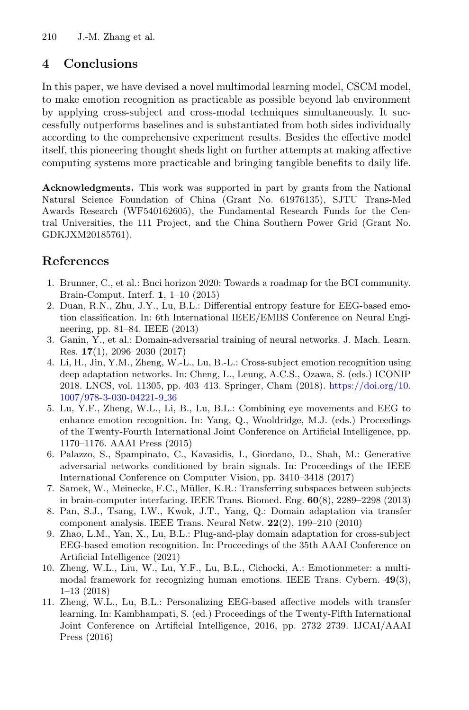# **4 Conclusions**

In this paper, we have devised a novel multimodal learning model, CSCM model, to make emotion recognition as practicable as possible beyond lab environment by applying cross-subject and cross-modal techniques simultaneously. It successfully outperforms baselines and is substantiated from both sides individually according to the comprehensive experiment results. Besides the effective model itself, this pioneering thought sheds light on further attempts at making affective computing systems more practicable and bringing tangible benefits to daily life.

**Acknowledgments.** This work was supported in part by grants from the National Natural Science Foundation of China (Grant No. 61976135), SJTU Trans-Med Awards Research (WF540162605), the Fundamental Research Funds for the Central Universities, the 111 Project, and the China Southern Power Grid (Grant No. GDKJXM20185761).

# **References**

- <span id="page-7-0"></span>1. Brunner, C., et al.: Bnci horizon 2020: Towards a roadmap for the BCI community. Brain-Comput. Interf. **1**, 1–10 (2015)
- <span id="page-7-10"></span>2. Duan, R.N., Zhu, J.Y., Lu, B.L.: Differential entropy feature for EEG-based emotion classification. In: 6th International IEEE/EMBS Conference on Neural Engineering, pp. 81–84. IEEE (2013)
- <span id="page-7-6"></span>3. Ganin, Y., et al.: Domain-adversarial training of neural networks. J. Mach. Learn. Res. **17**(1), 2096–2030 (2017)
- <span id="page-7-7"></span>4. Li, H., Jin, Y.M., Zheng, W.-L., Lu, B.-L.: Cross-subject emotion recognition using deep adaptation networks. In: Cheng, L., Leung, A.C.S., Ozawa, S. (eds.) ICONIP 2018. LNCS, vol. 11305, pp. 403–413. Springer, Cham (2018). [https://doi.org/10.](https://doi.org/10.1007/978-3-030-04221-9_36) [1007/978-3-030-04221-9](https://doi.org/10.1007/978-3-030-04221-9_36) 36
- <span id="page-7-3"></span>5. Lu, Y.F., Zheng, W.L., Li, B., Lu, B.L.: Combining eye movements and EEG to enhance emotion recognition. In: Yang, Q., Wooldridge, M.J. (eds.) Proceedings of the Twenty-Fourth International Joint Conference on Artificial Intelligence, pp. 1170–1176. AAAI Press (2015)
- <span id="page-7-2"></span>6. Palazzo, S., Spampinato, C., Kavasidis, I., Giordano, D., Shah, M.: Generative adversarial networks conditioned by brain signals. In: Proceedings of the IEEE International Conference on Computer Vision, pp. 3410–3418 (2017)
- <span id="page-7-1"></span>7. Samek, W., Meinecke, F.C., Müller, K.R.: Transferring subspaces between subjects in brain-computer interfacing. IEEE Trans. Biomed. Eng. **60**(8), 2289–2298 (2013)
- <span id="page-7-5"></span>8. Pan, S.J., Tsang, I.W., Kwok, J.T., Yang, Q.: Domain adaptation via transfer component analysis. IEEE Trans. Neural Netw. **22**(2), 199–210 (2010)
- <span id="page-7-8"></span>9. Zhao, L.M., Yan, X., Lu, B.L.: Plug-and-play domain adaptation for cross-subject EEG-based emotion recognition. In: Proceedings of the 35th AAAI Conference on Artificial Intelligence (2021)
- <span id="page-7-9"></span>10. Zheng, W.L., Liu, W., Lu, Y.F., Lu, B.L., Cichocki, A.: Emotionmeter: a multimodal framework for recognizing human emotions. IEEE Trans. Cybern. **49**(3), 1–13 (2018)
- <span id="page-7-4"></span>11. Zheng, W.L., Lu, B.L.: Personalizing EEG-based affective models with transfer learning. In: Kambhampati, S. (ed.) Proceedings of the Twenty-Fifth International Joint Conference on Artificial Intelligence, 2016, pp. 2732–2739. IJCAI/AAAI Press (2016)